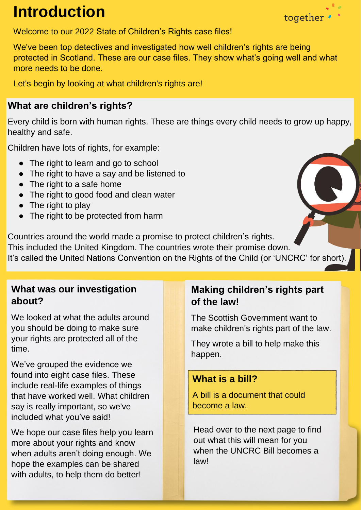# **Introduction**



Welcome to our 2022 State of Children's Rights case files!

We've been top detectives and investigated how well children's rights are being protected in Scotland. These are our case files. They show what's going well and what more needs to be done.

Let's begin by looking at what children's rights are!

## **What are children's rights?**

Every child is born with human rights. These are things every child needs to grow up happy, healthy and safe.

Children have lots of rights, for example:

- The right to learn and go to school
- The right to have a say and be listened to
- The right to a safe home
- The right to good food and clean water
- The right to play
- The right to be protected from harm

Countries around the world made a promise to protect children's rights. This included the United Kingdom. The countries wrote their promise down. It's called the United Nations Convention on the Rights of the Child (or 'UNCRC' for short).

# **What was our investigation about?**

We looked at what the adults around you should be doing to make sure your rights are protected all of the time.

We've grouped the evidence we found into eight case files. These include real-life examples of things that have worked well. What children say is really important, so we've included what you've said!

We hope our case files help you learn more about your rights and know when adults aren't doing enough. We hope the examples can be shared with adults, to help them do better!

# **Making children's rights part of the law!**

The Scottish Government want to make children's rights part of the law.

They wrote a bill to help make this happen.

### **What is a bill?**

A bill is a document that could become a law.

Head over to the next page to find out what this will mean for you when the UNCRC Bill becomes a law!